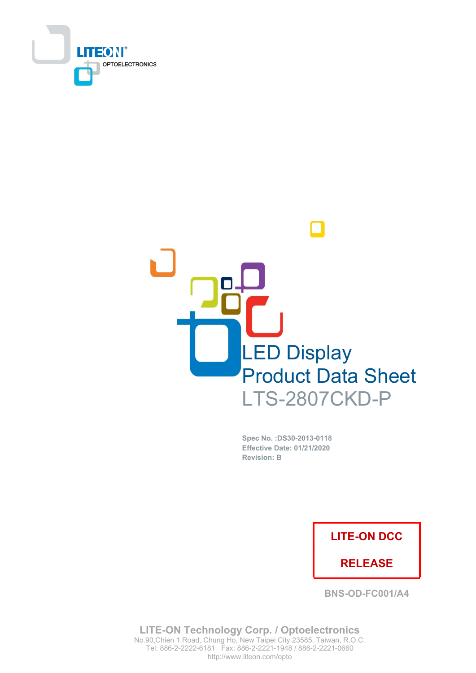



Spec No. : DS30-2013-0118 **Effective Date: 01/21/2020 Revision: B** 

### **LITE-ON DCC**

### **RELEASE**

**BNS-OD-FC001/A4** 

**LITE-ON Technology Corp. / Optoelectronics** No.90, Chien 1 Road, Chung Ho, New Taipei City 23585, Taiwan, R.O.C. Tel: 886-2-2222-6181 Fax: 886-2-2221-1948 / 886-2-2221-0660 http://www.liteon.com/opto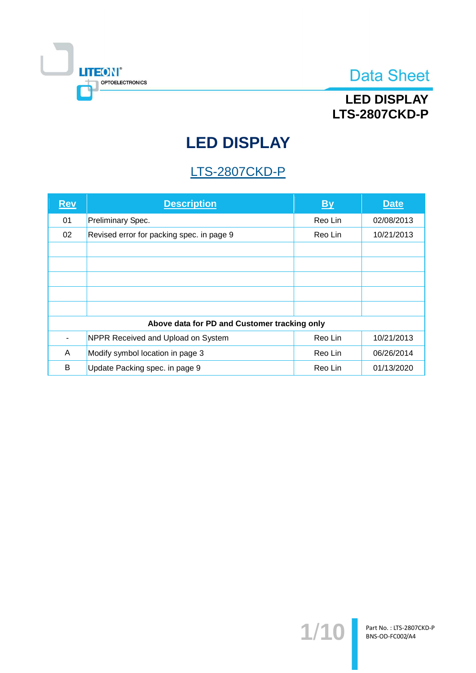

## **LED DISPLAY LTS-2807CKD-P**

# **LED DISPLAY**

## **LTS-2807CKD-P**

| <u>Rev</u>                                   | <b>Description</b>                        | <b>By</b> | <b>Date</b> |  |  |
|----------------------------------------------|-------------------------------------------|-----------|-------------|--|--|
| 01                                           | Preliminary Spec.                         | Reo Lin   | 02/08/2013  |  |  |
| 02                                           | Revised error for packing spec. in page 9 | Reo Lin   | 10/21/2013  |  |  |
|                                              |                                           |           |             |  |  |
|                                              |                                           |           |             |  |  |
|                                              |                                           |           |             |  |  |
|                                              |                                           |           |             |  |  |
|                                              |                                           |           |             |  |  |
| Above data for PD and Customer tracking only |                                           |           |             |  |  |
|                                              | NPPR Received and Upload on System        | Reo Lin   | 10/21/2013  |  |  |
| A                                            | Modify symbol location in page 3          | Reo Lin   | 06/26/2014  |  |  |
| B                                            | Update Packing spec. in page 9            | Reo Lin   | 01/13/2020  |  |  |

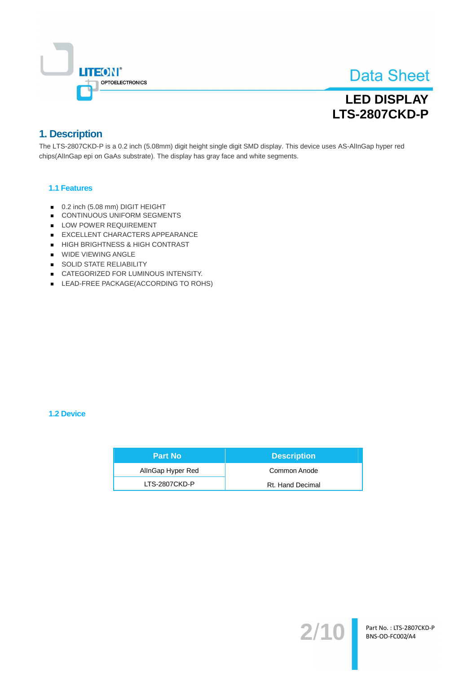

## **LED DISPLAY LTS-2807CKD-P**

### 1. Description

The LTS-2807CKD-P is a 0.2 inch (5.08mm) digit height single digit SMD display. This device uses AS-AllnGap hyper red chips(AlInGap epi on GaAs substrate). The display has gray face and white segments.

#### 1.1 Features

- 0.2 inch (5.08 mm) DIGIT HEIGHT
- CONTINUOUS UNIFORM SEGMENTS
- LOW POWER REQUIREMENT
- EXCELLENT CHARACTERS APPEARANCE
- HIGH BRIGHTNESS & HIGH CONTRAST
- WIDE VIEWING ANGLE
- SOLID STATE RELIABILITY
- CATEGORIZED FOR LUMINOUS INTENSITY.
- LEAD-FREE PACKAGE(ACCORDING TO ROHS)

#### 1.2 Device

| <b>Part No</b>    | <b>Description</b> |
|-------------------|--------------------|
| AllnGap Hyper Red | Common Anode       |
| LTS-2807CKD-P     | Rt. Hand Decimal   |

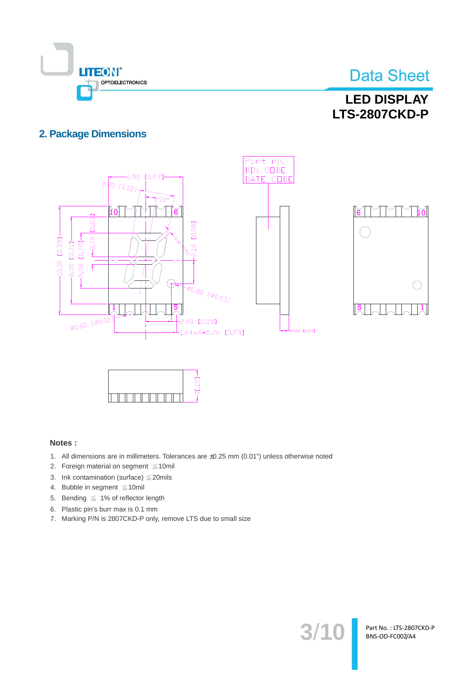

 $\bigcap$ 

Part No.: LTS-2807CKD-P BNS-OD-FC002/A4

### **LED DISPLAY LTS-2807CKD-P**

### **2. Package Dimensions**





#### Notes:

- 1. All dimensions are in millimeters. Tolerances are ±0.25 mm (0.01") unless otherwise noted
- 2. Foreign material on segment ≤10mil
- 3. Ink contamination (surface)  $\leq$  20mils
- 4. Bubble in segment ≤10mil
- 5. Bending  $\leq 1\%$  of reflector length
- 6. Plastic pin's burr max is 0.1 mm
- 7. Marking P/N is 2807CKD-P only, remove LTS due to small size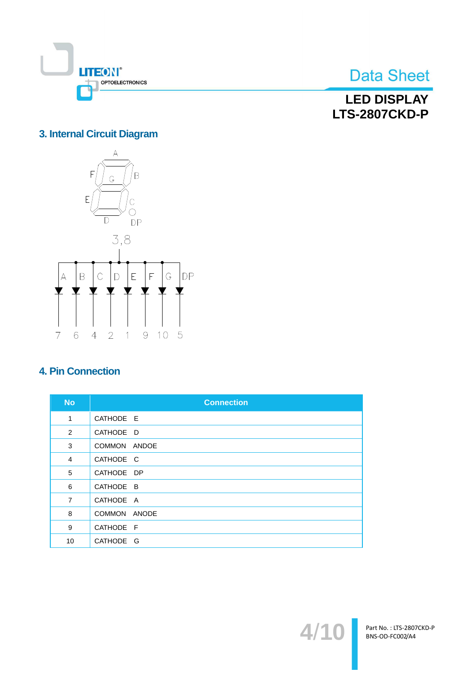

**LED DISPLAY LTS-2807CKD-P** 

### 3. Internal Circuit Diagram



### **4. Pin Connection**

| <b>No</b>      | <b>Connection</b> |
|----------------|-------------------|
| 1              | CATHODE E         |
| 2              | CATHODE D         |
| 3              | COMMON ANDOE      |
| $\overline{4}$ | CATHODE C         |
| 5              | CATHODE DP        |
| 6              | CATHODE B         |
| $\overline{7}$ | CATHODE A         |
| 8              | COMMON ANODE      |
| 9              | CATHODE F         |
| 10             | CATHODE G         |

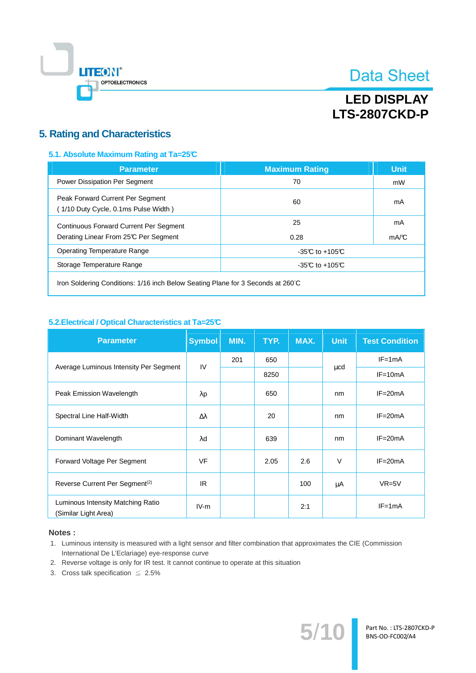

## **LED DISPLAY LTS-2807CKD-P**

### **5. Rating and Characteristics**

#### 5.1. Absolute Maximum Rating at Ta=25°C

| <b>Parameter</b>                                                                       | <b>Maximum Rating</b> | <b>Unit</b> |
|----------------------------------------------------------------------------------------|-----------------------|-------------|
| Power Dissipation Per Segment                                                          | 70                    | mW          |
| Peak Forward Current Per Segment<br>(1/10 Duty Cycle, 0.1ms Pulse Width)               | 60                    | mA          |
| <b>Continuous Forward Current Per Segment</b><br>Derating Linear From 25°C Per Segment | 25<br>0.28            | mA<br>mA/C  |
| <b>Operating Temperature Range</b>                                                     | -35 $C$ to +105 $C$   |             |
| Storage Temperature Range                                                              | $-35C$ to $+105C$     |             |
|                                                                                        |                       |             |

Iron Soldering Conditions: 1/16 inch Below Seating Plane for 3 Seconds at 260°C

#### 5.2. Electrical / Optical Characteristics at Ta=25°C

| <b>Parameter</b>                                          | <b>Symbol</b>    | MIN. | TYP. | MAX. | <b>Unit</b> | <b>Test Condition</b> |
|-----------------------------------------------------------|------------------|------|------|------|-------------|-----------------------|
|                                                           | IV               | 201  | 650  |      | μcd         | $IF = 1mA$            |
| Average Luminous Intensity Per Segment                    |                  |      | 8250 |      |             | $IF=10mA$             |
| Peak Emission Wavelength                                  | λp               |      | 650  |      | nm          | $IF = 20mA$           |
| Spectral Line Half-Width                                  | $\Delta \lambda$ |      | 20   |      | nm          | $IF = 20mA$           |
| Dominant Wavelength                                       | λd               |      | 639  |      | nm          | $IF = 20mA$           |
| Forward Voltage Per Segment                               | <b>VF</b>        |      | 2.05 | 2.6  | $\vee$      | $IF = 20mA$           |
| Reverse Current Per Segment <sup>(2)</sup>                | IR.              |      |      | 100  | μA          | $VR=5V$               |
| Luminous Intensity Matching Ratio<br>(Similar Light Area) | $IV-m$           |      |      | 2:1  |             | $IF=1mA$              |

#### Notes:

- 1. Luminous intensity is measured with a light sensor and filter combination that approximates the CIE (Commission International De L'Eclariage) eye-response curve
- 2. Reverse voltage is only for IR test. It cannot continue to operate at this situation
- 3. Cross talk specification  $\leq 2.5\%$

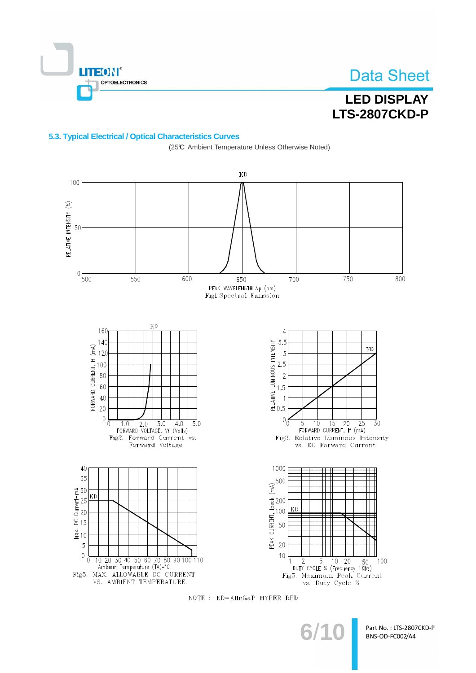

## **LED DISPLAY LTS-2807CKD-P**

#### 5.3. Typical Electrical / Optical Characteristics Curves

**KD** 100 RELATIVE INTENSITY (%) 50  $\mathcal{L}_{\mathcal{L}}$ 500 550 600 700 750 800 650 PEAK WAVELENGTH Ap (nm) Fig1.Spectral Emission  $KD$ 160  $\overline{4}$  $3.5$  $140$ 3.5<br>
NEWSIME UMNOUS NEWSITE<br>
2.5<br>
2.5<br>
2.5<br>
2.5<br>
3.5<br>
3.5<br>
3.5<br>
3.5<br>
3.5<br>
3.5<br>
3.5<br>
4.5<br>
5.5<br>
4.5<br>
4.5  $\frac{1}{2}$ <br>  $\frac{1}{2}$ <br>  $\frac{1}{2}$ <br>  $\frac{1}{2}$ <br>  $\frac{1}{2}$ <br>  $\frac{1}{2}$ <br>  $\frac{1}{2}$ <br>  $\frac{1}{2}$ <br>  $\frac{1}{2}$ <br>  $\frac{1}{2}$ <br>  $\frac{1}{2}$ <br>  $\frac{1}{2}$ <br>  $\frac{1}{2}$  $KD$  $0<sub>o</sub>$  $\mathbf{0}_{\mathbf{0}}$  $1.0$  $\overline{2.0}$  $\overline{3.0}$  $4.0$  $\overline{5.0}$  $\overline{10}$  $\overline{15}$  $\overline{20}$  $\overline{25}$ 30 FORWARD VOLTAGE, Vf (Volts)<br>Fig2. Forward Current vs. FORWARD CURRENT, If (mA) Fig3 Relative Luminous Intensity Forward Voltage vs. DC Forward Current 40 1000 35 PEAK CURRENT, LPeak (mA)<br>PEAK CURRENT, LPeak (mA)<br>20<br>20  $E = 30$ <br> $E = 25$ <br> $E = 20$ kd  $\approx$  15  $\ddot{\hat{\mathbf{g}}}$  10 5  $0\overline{0}$  $10$ DUTY CYCLE % (Frequency 1Khz) 10 20 30 40 50 60 70 80 90 100 110 100 Ambient Temperature (TA)-°C Fig5. MAX. ALLOWABLE DC CURRENT Fig5. Maximum Peak Current VS. AMBIENT TEMPERATURE. vs. Duty Cycle %

(25℃ Ambient Temperature Unless Otherwise Noted)

NOTE : KD=AlInGaP HYPER RED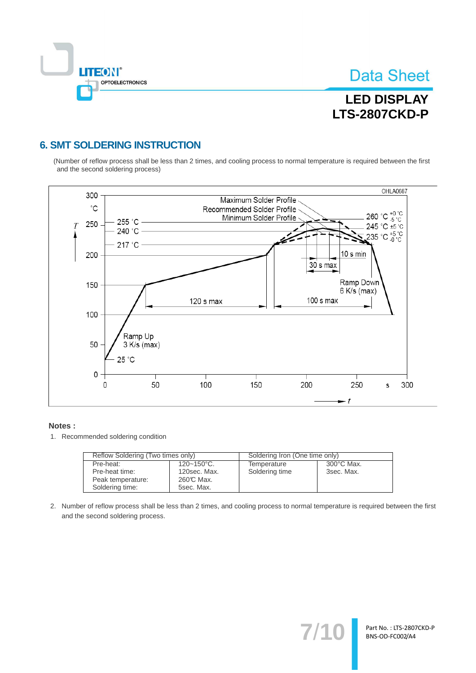

## **LED DISPLAY LTS-2807CKD-P**

### **6. SMT SOLDERING INSTRUCTION**

(Number of reflow process shall be less than 2 times, and cooling process to normal temperature is required between the first and the second soldering process)



#### Notes:

1. Recommended soldering condition

| Reflow Soldering (Two times only) |                        | Soldering Iron (One time only) |                      |  |
|-----------------------------------|------------------------|--------------------------------|----------------------|--|
| Pre-heat:                         | $120 - 150^{\circ}$ C. | Temperature                    | $300^{\circ}$ C Max. |  |
| Pre-heat time:                    | 120sec. Max.           | Soldering time                 | 3sec. Max.           |  |
| Peak temperature:                 | 260℃ Max.              |                                |                      |  |
| Soldering time:                   | 5sec. Max.             |                                |                      |  |

2. Number of reflow process shall be less than 2 times, and cooling process to normal temperature is required between the first and the second soldering process.

 $7'$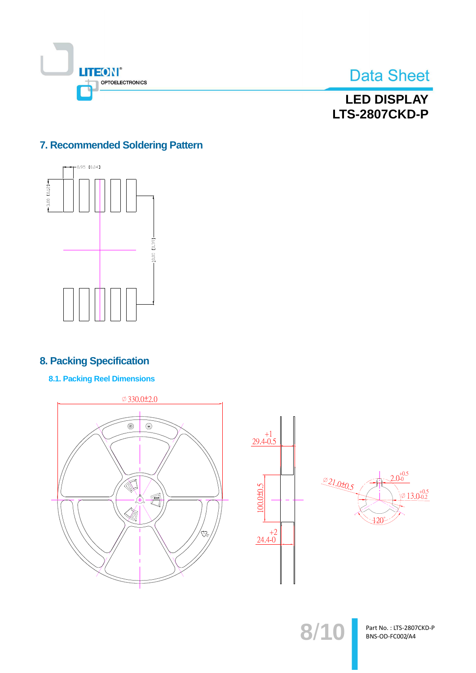



**LED DISPLAY LTS-2807CKD-P** 

### 7. Recommended Soldering Pattern



### **8. Packing Specification**

**8.1. Packing Reel Dimensions** 





 $8/10$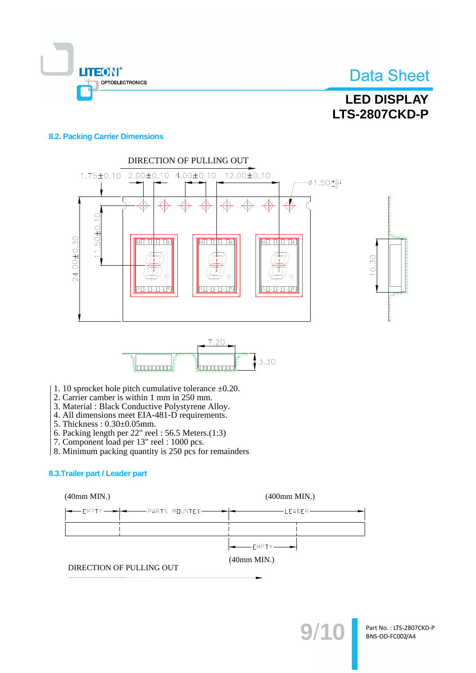

## **LED DISPLAY LTS-2807CKD-P**

#### **8.2. Packing Carrier Dimensions**







- 1. 10 sprocket hole pitch cumulative tolerance  $\pm 0.20$ .
- 2. Carrier camber is within 1 mm in 250 mm.
- 3. Material: Black Conductive Polystyrene Alloy.
- 4. All dimensions meet EIA-481-D requirements.
- 5. Thickness: 0.30±0.05mm.
- 6. Packing length per  $22$ " reel: 56.5 Meters.(1:3)
- 7. Component load per 13" reel : 1000 pcs.
- 8. Minimum packing quantity is 250 pcs for remainders

#### 8.3. Trailer part / Leader part